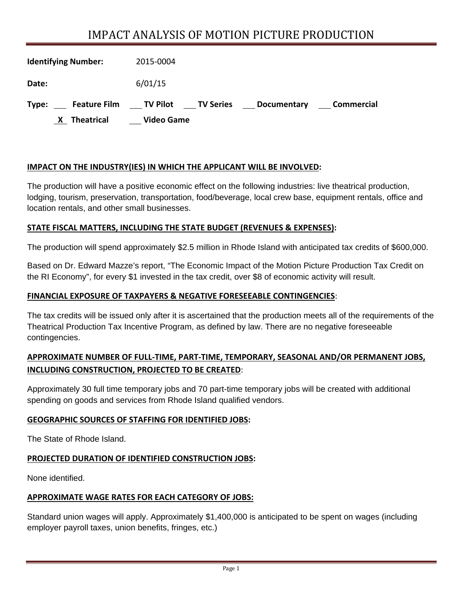# IMPACT ANALYSIS OF MOTION PICTURE PRODUCTION

| <b>Identifying Number:</b>   | 2015-0004                                                     |
|------------------------------|---------------------------------------------------------------|
| Date:                        | 6/01/15                                                       |
| <b>Feature Film</b><br>Type: | <b>TV Pilot TV Series</b><br>Commercial<br><b>Documentary</b> |
| <b>Theatrical</b>            | <b>Video Game</b>                                             |

## **IMPACT ON THE INDUSTRY(IES) IN WHICH THE APPLICANT WILL BE INVOLVED:**

The production will have a positive economic effect on the following industries: live theatrical production, lodging, tourism, preservation, transportation, food/beverage, local crew base, equipment rentals, office and location rentals, and other small businesses.

## **STATE FISCAL MATTERS, INCLUDING THE STATE BUDGET (REVENUES & EXPENSES):**

The production will spend approximately \$2.5 million in Rhode Island with anticipated tax credits of \$600,000.

Based on Dr. Edward Mazze's report, "The Economic Impact of the Motion Picture Production Tax Credit on the RI Economy", for every \$1 invested in the tax credit, over \$8 of economic activity will result.

## **FINANCIAL EXPOSURE OF TAXPAYERS & NEGATIVE FORESEEABLE CONTINGENCIES**:

The tax credits will be issued only after it is ascertained that the production meets all of the requirements of the Theatrical Production Tax Incentive Program, as defined by law. There are no negative foreseeable contingencies.

# **APPROXIMATE NUMBER OF FULL‐TIME, PART‐TIME, TEMPORARY, SEASONAL AND/OR PERMANENT JOBS, INCLUDING CONSTRUCTION, PROJECTED TO BE CREATED**:

Approximately 30 full time temporary jobs and 70 part-time temporary jobs will be created with additional spending on goods and services from Rhode Island qualified vendors.

# **GEOGRAPHIC SOURCES OF STAFFING FOR IDENTIFIED JOBS:**

The State of Rhode Island.

# **PROJECTED DURATION OF IDENTIFIED CONSTRUCTION JOBS:**

None identified.

#### **APPROXIMATE WAGE RATES FOR EACH CATEGORY OF JOBS:**

Standard union wages will apply. Approximately \$1,400,000 is anticipated to be spent on wages (including employer payroll taxes, union benefits, fringes, etc.)